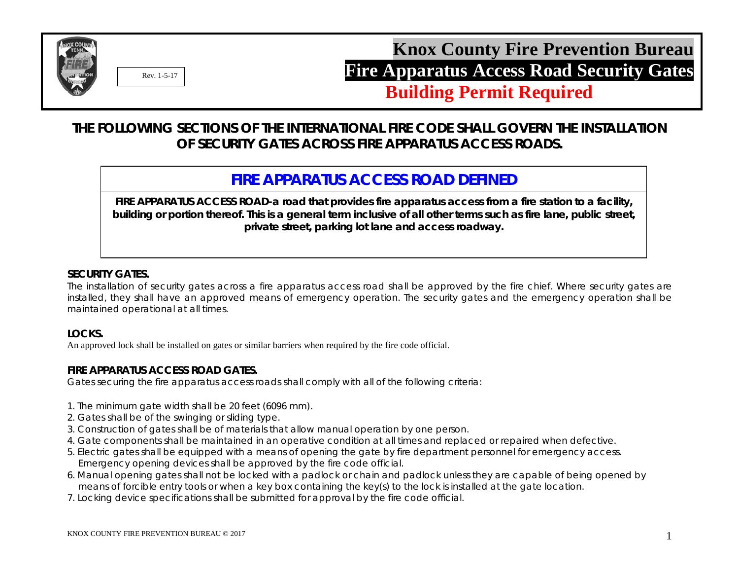

**Building Permit Required**

# **THE FOLLOWING SECTIONS OF THE INTERNATIONAL FIRE CODE SHALL GOVERN THE INSTALLATION OF SECURITY GATES ACROSS FIRE APPARATUS ACCESS ROADS.**

# **FIRE APPARATUS ACCESS ROAD DEFINED**

**FIRE APPARATUS ACCESS ROAD-a road that provides fire apparatus access from a fire station to a facility, building or portion thereof. This is a general term inclusive of all other terms such as fire lane, public street, private street, parking lot lane and access roadway.**

### **SECURITY GATES.**

The installation of security gates across a fire apparatus access road shall be approved by the fire chief. Where security gates are installed, they shall have an approved means of emergency operation. The security gates and the emergency operation shall be maintained operational at all times.

#### **LOCKS.**

An approved lock shall be installed on gates or similar barriers when required by the fire code official.

#### **FIRE APPARATUS ACCESS ROAD GATES.**

Gates securing the fire apparatus access roads shall comply with all of the following criteria:

- 1. The minimum gate width shall be 20 feet (6096 mm).
- 2. Gates shall be of the swinging or sliding type.
- 3. Construction of gates shall be of materials that allow manual operation by one person.
- 4. Gate components shall be maintained in an operative condition at all times and replaced or repaired when defective.
- 5. Electric gates shall be equipped with a means of opening the gate by fire department personnel for emergency access. Emergency opening devices shall be approved by the fire code official.
- 6. Manual opening gates shall not be locked with a padlock or chain and padlock unless they are capable of being opened by means of forcible entry tools or when a key box containing the key(s) to the lock is installed at the gate location.
- 7. Locking device specifications shall be submitted for approval by the fire code official.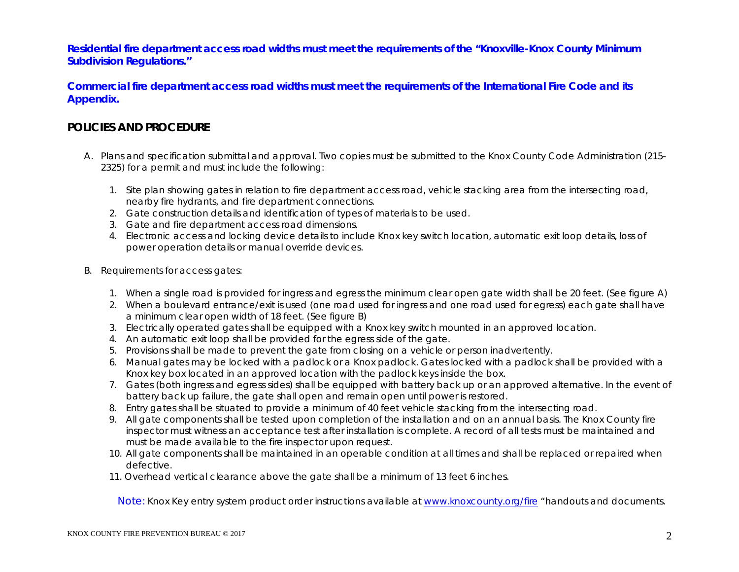**Residential fire department access road widths must meet the requirements of the "Knoxville-Knox County Minimum Subdivision Regulations."**

**Commercial fire department access road widths must meet the requirements of the International Fire Code and its Appendix.**

## **POLICIES AND PROCEDURE**

- A. Plans and specification submittal and approval. Two copies must be submitted to the Knox County Code Administration (215- 2325) for a permit and must include the following:
	- 1. Site plan showing gates in relation to fire department access road, vehicle stacking area from the intersecting road, nearby fire hydrants, and fire department connections.
	- 2. Gate construction details and identification of types of materials to be used.
	- 3. Gate and fire department access road dimensions.
	- 4. Electronic access and locking device details to include Knox key switch location, automatic exit loop details, loss of power operation details or manual override devices.
- B. Requirements for access gates:
	- 1. When a single road is provided for ingress and egress the minimum clear open gate width shall be 20 feet. (See figure A)
	- 2. When a boulevard entrance/exit is used (one road used for ingress and one road used for egress) each gate shall have a minimum clear open width of 18 feet. (See figure B)
	- 3. Electrically operated gates shall be equipped with a Knox key switch mounted in an approved location.
	- 4. An automatic exit loop shall be provided for the egress side of the gate.
	- 5. Provisions shall be made to prevent the gate from closing on a vehicle or person inadvertently.
	- 6. Manual gates may be locked with a padlock or a Knox padlock. Gates locked with a padlock shall be provided with a Knox key box located in an approved location with the padlock keys inside the box.
	- 7. Gates (both ingress and egress sides) shall be equipped with battery back up or an approved alternative. In the event of battery back up failure, the gate shall open and remain open until power is restored.
	- 8. Entry gates shall be situated to provide a minimum of 40 feet vehicle stacking from the intersecting road.
	- 9. All gate components shall be tested upon completion of the installation and on an annual basis. The Knox County fire inspector must witness an acceptance test after installation is complete. A record of all tests must be maintained and must be made available to the fire inspector upon request.
	- 10. All gate components shall be maintained in an operable condition at all times and shall be replaced or repaired when defective.
	- 11. Overhead vertical clearance above the gate shall be a minimum of 13 feet 6 inches.

Note: Knox Key entry system product order instructions available at [www.knoxcounty.org/fire](http://www.knoxcounty.org/fire) "handouts and documents.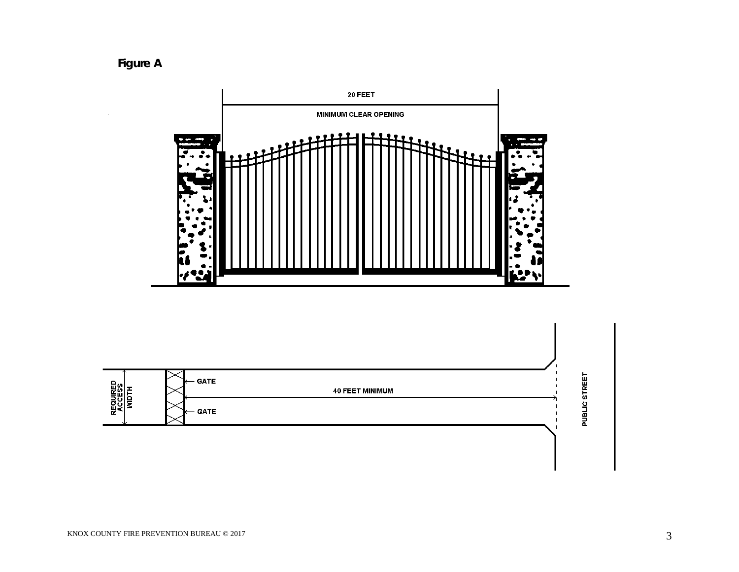**Figure A**